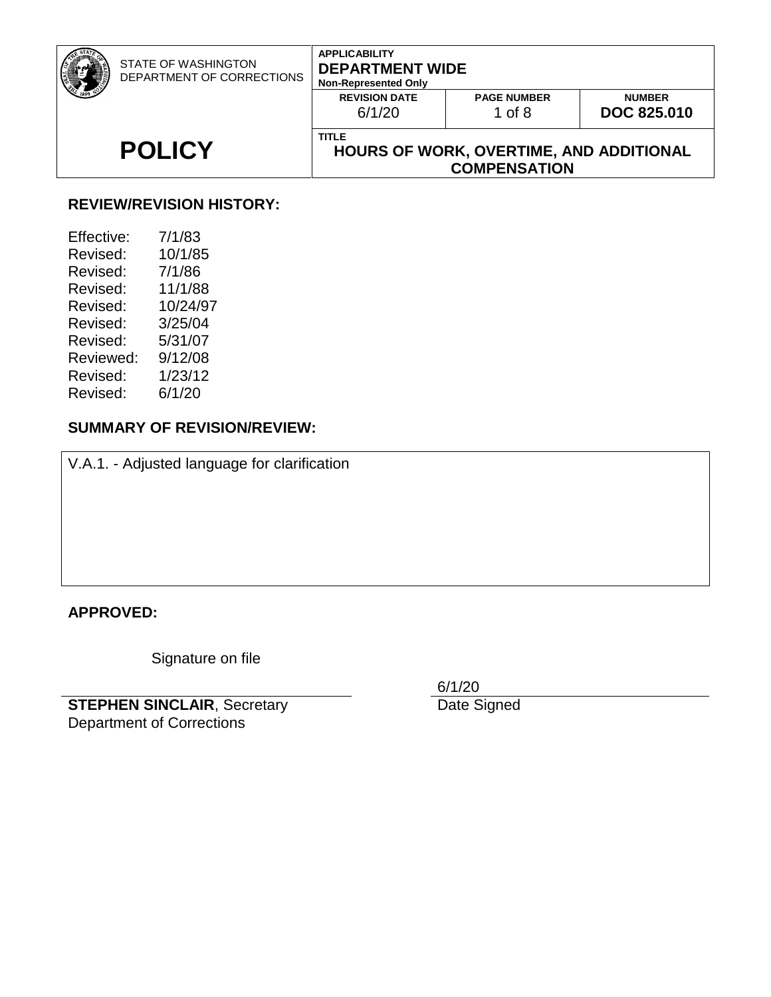| STATE OF WASHINGTON<br>DEPARTMENT OF CORRECTIONS | <b>APPLICABILITY</b><br><b>DEPARTMENT WIDE</b><br><b>Non-Represented Only</b>  |                                |                                     |
|--------------------------------------------------|--------------------------------------------------------------------------------|--------------------------------|-------------------------------------|
|                                                  | <b>REVISION DATE</b><br>6/1/20                                                 | <b>PAGE NUMBER</b><br>1 of $8$ | <b>NUMBER</b><br><b>DOC 825,010</b> |
| <b>POLICY</b>                                    | <b>TITLE</b><br>HOURS OF WORK, OVERTIME, AND ADDITIONAL<br><b>COMPENSATION</b> |                                |                                     |
|                                                  |                                                                                |                                |                                     |

#### **REVIEW/REVISION HISTORY:**

| Effective: | 7/1/83   |
|------------|----------|
| Revised:   | 10/1/85  |
| Revised:   | 7/1/86   |
| Revised:   | 11/1/88  |
| Revised:   | 10/24/97 |
| Revised:   | 3/25/04  |
| Revised:   | 5/31/07  |
| Reviewed:  | 9/12/08  |
| Revised:   | 1/23/12  |
| Revised:   | 6/1/20   |
|            |          |

# **SUMMARY OF REVISION/REVIEW:**

V.A.1. - Adjusted language for clarification

#### **APPROVED:**

Signature on file

**STEPHEN SINCLAIR**, Secretary Department of Corrections

6/1/20 Date Signed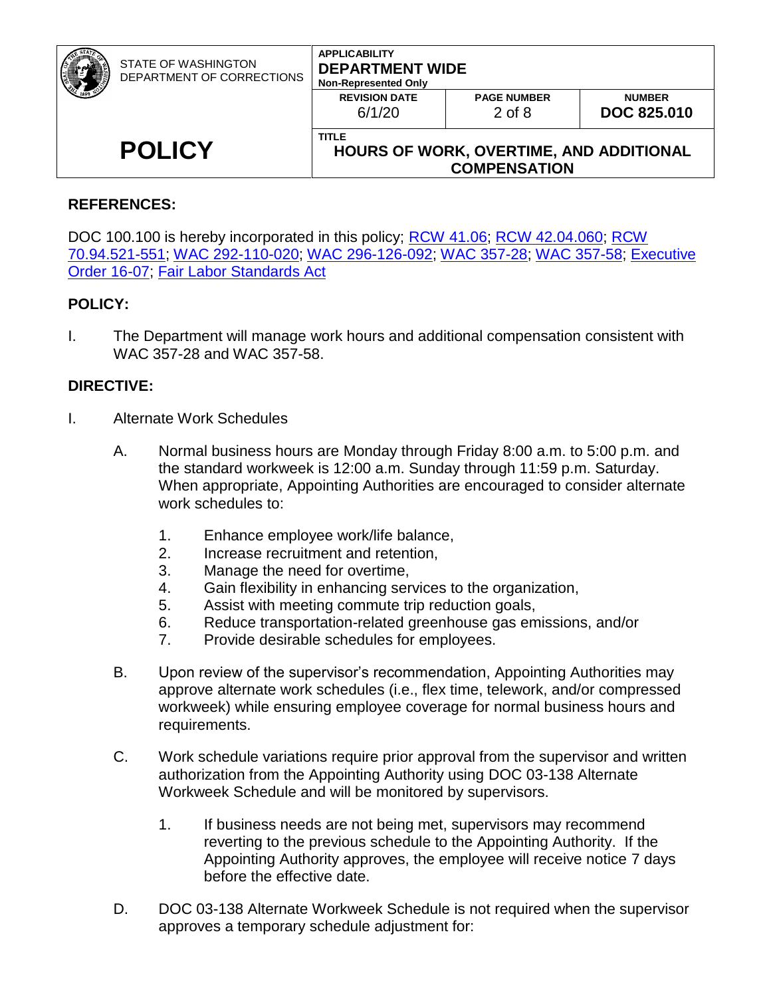| <b>POLICY</b> | <b>Non-Represented Only</b><br><b>REVISION DATE</b><br>6/1/20<br><b>TITLE</b> | <b>PAGE NUMBER</b><br>$2$ of $8$ | <b>NUMBER</b><br><b>DOC 825,010</b> |
|---------------|-------------------------------------------------------------------------------|----------------------------------|-------------------------------------|
|               | HOURS OF WORK, OVERTIME, AND ADDITIONAL<br><b>COMPENSATION</b>                |                                  |                                     |

#### **REFERENCES:**

DOC 100.100 is hereby incorporated in this policy; [RCW 41.06;](http://apps.leg.wa.gov/RCW/default.aspx?cite=41.06) [RCW 42.04.060;](http://apps.leg.wa.gov/RCW/default.aspx?cite=42.04.060) RCW [70.94.521-551;](http://apps.leg.wa.gov/RCW/default.aspx?cite=70.94) [WAC 292-110-020;](https://app.leg.wa.gov/WAC/default.aspx?cite=292-110-020) [WAC 296-126-092;](http://apps.leg.wa.gov/WAC/default.aspx?cite=296-126-092) [WAC 357-28;](http://apps.leg.wa.gov/WAC/default.aspx?cite=357-28) WAC [357-58;](https://apps.leg.wa.gov/wac/default.aspx?cite=357.58) [Executive](https://www.governor.wa.gov/sites/default/files/exe_order/eo_16-07.pdf)  [Order 16-07;](https://www.governor.wa.gov/sites/default/files/exe_order/eo_16-07.pdf) [Fair Labor Standards Act](http://hr.ofm.wa.gov/compensation-job-classes/compensation-administration/fair-labor-standards-act-flsa)

#### **POLICY:**

I. The Department will manage work hours and additional compensation consistent with WAC 357-28 and WAC 357-58.

#### **DIRECTIVE:**

- I. Alternate Work Schedules
	- A. Normal business hours are Monday through Friday 8:00 a.m. to 5:00 p.m. and the standard workweek is 12:00 a.m. Sunday through 11:59 p.m. Saturday. When appropriate, Appointing Authorities are encouraged to consider alternate work schedules to:
		- 1. Enhance employee work/life balance,
		- 2. Increase recruitment and retention,
		- 3. Manage the need for overtime,
		- 4. Gain flexibility in enhancing services to the organization,
		- 5. Assist with meeting commute trip reduction goals,
		- 6. Reduce transportation-related greenhouse gas emissions, and/or
		- 7. Provide desirable schedules for employees.
	- B. Upon review of the supervisor's recommendation, Appointing Authorities may approve alternate work schedules (i.e., flex time, telework, and/or compressed workweek) while ensuring employee coverage for normal business hours and requirements.
	- C. Work schedule variations require prior approval from the supervisor and written authorization from the Appointing Authority using DOC 03-138 Alternate Workweek Schedule and will be monitored by supervisors.
		- 1. If business needs are not being met, supervisors may recommend reverting to the previous schedule to the Appointing Authority. If the Appointing Authority approves, the employee will receive notice 7 days before the effective date.
	- D. DOC 03-138 Alternate Workweek Schedule is not required when the supervisor approves a temporary schedule adjustment for: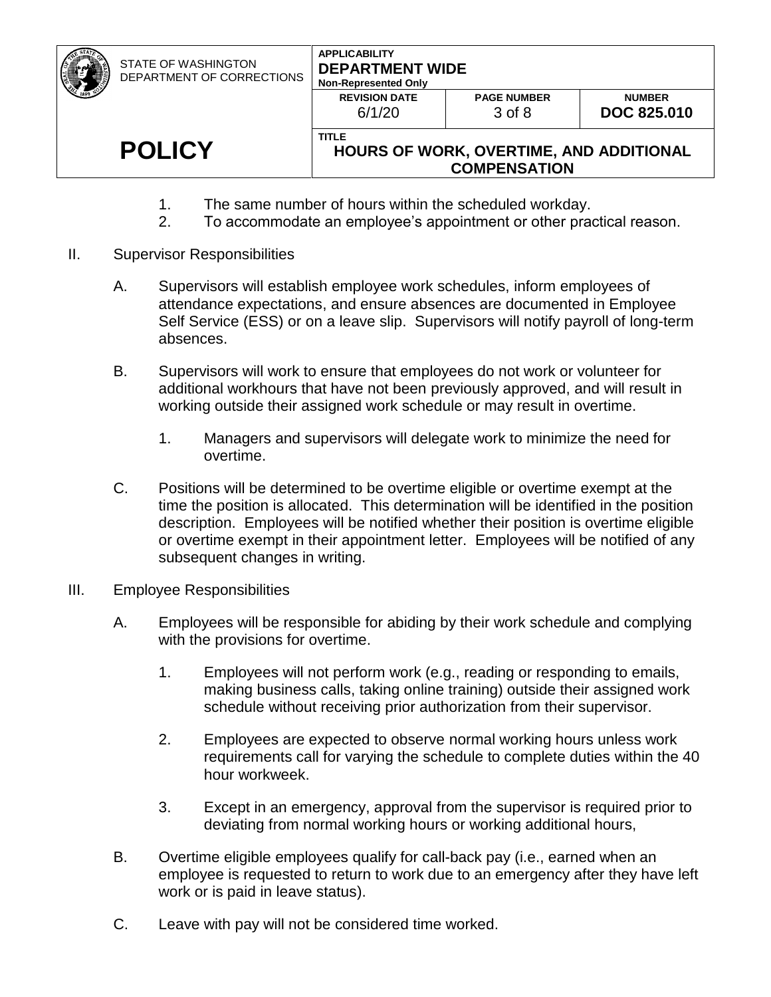| <b>POLICY</b>                                           | <b>TITLE</b>                                                                  | HOURS OF WORK, OVERTIME, AND ADDITIONAL<br><b>COMPENSATION</b> |                                     |
|---------------------------------------------------------|-------------------------------------------------------------------------------|----------------------------------------------------------------|-------------------------------------|
|                                                         | <b>REVISION DATE</b><br>6/1/20                                                | <b>PAGE NUMBER</b><br>$3$ of $8$                               | <b>NUMBER</b><br><b>DOC 825,010</b> |
| <b>STATE OF WASHINGTON</b><br>DEPARTMENT OF CORRECTIONS | <b>APPLICABILITY</b><br><b>DEPARTMENT WIDE</b><br><b>Non-Represented Only</b> |                                                                |                                     |

- 1. The same number of hours within the scheduled workday.
- 2. To accommodate an employee's appointment or other practical reason.
- II. Supervisor Responsibilities
	- A. Supervisors will establish employee work schedules, inform employees of attendance expectations, and ensure absences are documented in Employee Self Service (ESS) or on a leave slip. Supervisors will notify payroll of long-term absences.
	- B. Supervisors will work to ensure that employees do not work or volunteer for additional workhours that have not been previously approved, and will result in working outside their assigned work schedule or may result in overtime.
		- 1. Managers and supervisors will delegate work to minimize the need for overtime.
	- C. Positions will be determined to be overtime eligible or overtime exempt at the time the position is allocated. This determination will be identified in the position description. Employees will be notified whether their position is overtime eligible or overtime exempt in their appointment letter. Employees will be notified of any subsequent changes in writing.
- III. Employee Responsibilities
	- A. Employees will be responsible for abiding by their work schedule and complying with the provisions for overtime.
		- 1. Employees will not perform work (e.g., reading or responding to emails, making business calls, taking online training) outside their assigned work schedule without receiving prior authorization from their supervisor.
		- 2. Employees are expected to observe normal working hours unless work requirements call for varying the schedule to complete duties within the 40 hour workweek.
		- 3. Except in an emergency, approval from the supervisor is required prior to deviating from normal working hours or working additional hours,
	- B. Overtime eligible employees qualify for call-back pay (i.e., earned when an employee is requested to return to work due to an emergency after they have left work or is paid in leave status).
	- C. Leave with pay will not be considered time worked.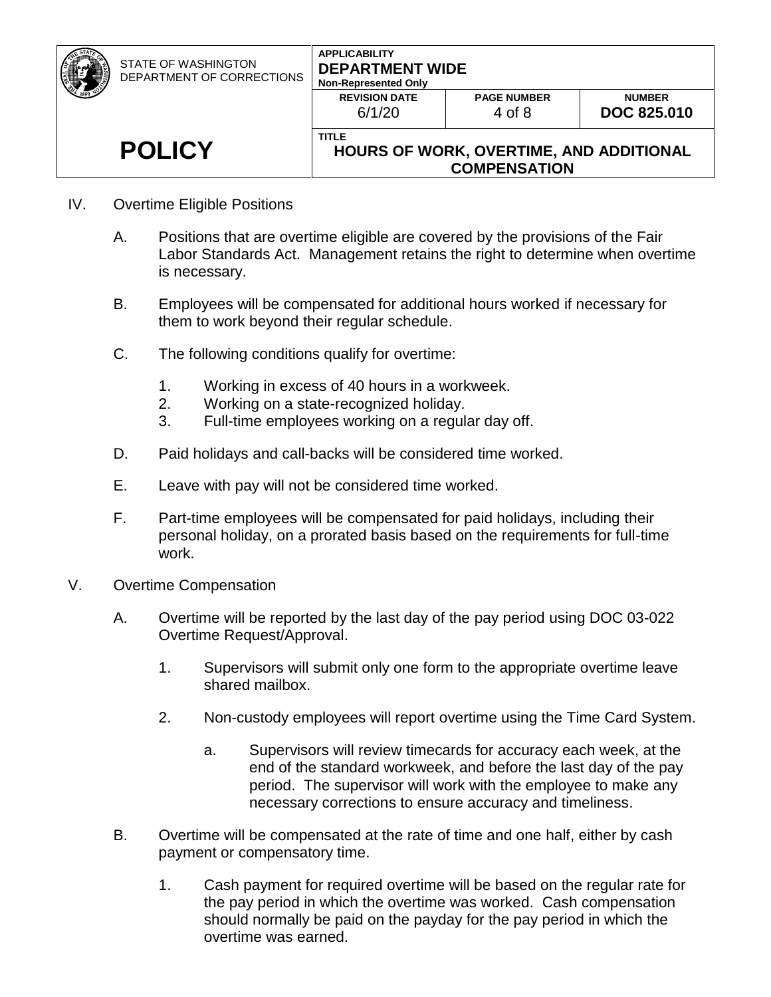| <b>POLICY</b>                                           | 6/1/20<br><b>TITLE</b>                                                        | 4 of 8<br>HOURS OF WORK, OVERTIME, AND ADDITIONAL<br><b>COMPENSATION</b> | <b>DOC 825,010</b> |
|---------------------------------------------------------|-------------------------------------------------------------------------------|--------------------------------------------------------------------------|--------------------|
|                                                         | <b>REVISION DATE</b>                                                          | <b>PAGE NUMBER</b>                                                       | <b>NUMBER</b>      |
| <b>STATE OF WASHINGTON</b><br>DEPARTMENT OF CORRECTIONS | <b>APPLICABILITY</b><br><b>DEPARTMENT WIDE</b><br><b>Non-Represented Only</b> |                                                                          |                    |

- IV. Overtime Eligible Positions
	- A. Positions that are overtime eligible are covered by the provisions of the Fair Labor Standards Act. Management retains the right to determine when overtime is necessary.
	- B. Employees will be compensated for additional hours worked if necessary for them to work beyond their regular schedule.
	- C. The following conditions qualify for overtime:
		- 1. Working in excess of 40 hours in a workweek.
		- 2. Working on a state-recognized holiday.
		- 3. Full-time employees working on a regular day off.
	- D. Paid holidays and call-backs will be considered time worked.
	- E. Leave with pay will not be considered time worked.
	- F. Part-time employees will be compensated for paid holidays, including their personal holiday, on a prorated basis based on the requirements for full-time work.
- V. Overtime Compensation
	- A. Overtime will be reported by the last day of the pay period using DOC 03-022 Overtime Request/Approval.
		- 1. Supervisors will submit only one form to the appropriate overtime leave shared mailbox.
		- 2. Non-custody employees will report overtime using the Time Card System.
			- a. Supervisors will review timecards for accuracy each week, at the end of the standard workweek, and before the last day of the pay period. The supervisor will work with the employee to make any necessary corrections to ensure accuracy and timeliness.
	- B. Overtime will be compensated at the rate of time and one half, either by cash payment or compensatory time.
		- 1. Cash payment for required overtime will be based on the regular rate for the pay period in which the overtime was worked. Cash compensation should normally be paid on the payday for the pay period in which the overtime was earned.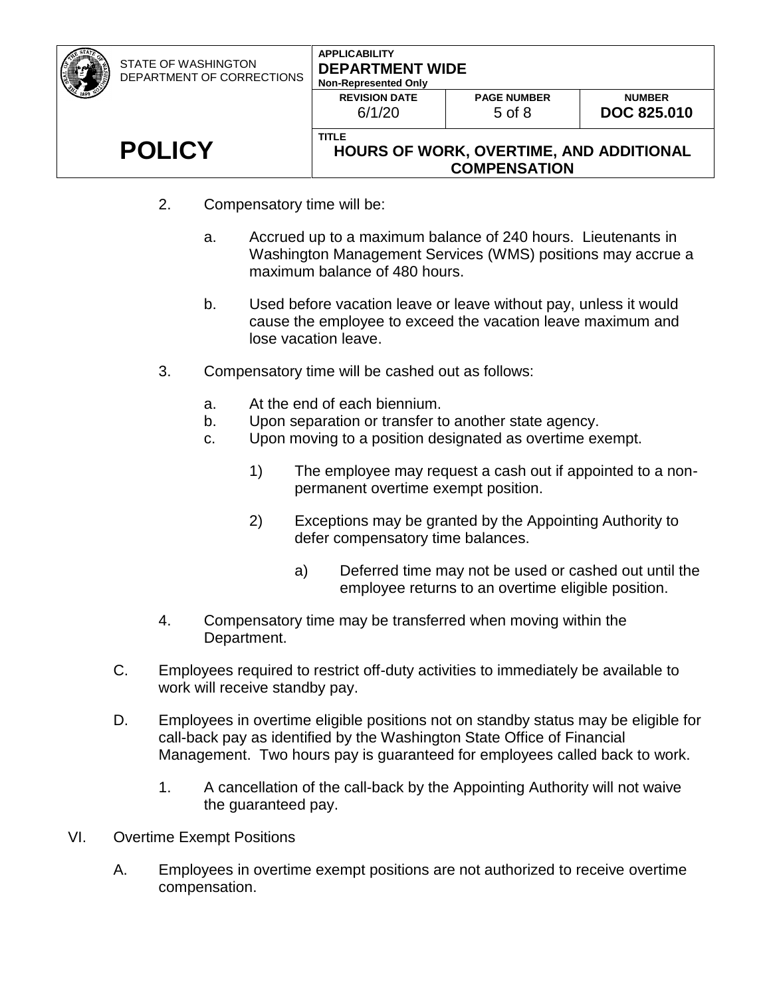| STATE OF WASHINGTON<br>DEPARTMENT OF CORRECTIONS | <b>APPLICABILITY</b><br><b>DEPARTMENT WIDE</b><br><b>Non-Represented Only</b><br><b>REVISION DATE</b><br>6/1/20 | <b>PAGE NUMBER</b><br>$5$ of $8$                               | <b>NUMBER</b><br><b>DOC 825,010</b> |
|--------------------------------------------------|-----------------------------------------------------------------------------------------------------------------|----------------------------------------------------------------|-------------------------------------|
| <b>POLICY</b>                                    | <b>TITLE</b>                                                                                                    | HOURS OF WORK, OVERTIME, AND ADDITIONAL<br><b>COMPENSATION</b> |                                     |

- 2. Compensatory time will be:
	- a. Accrued up to a maximum balance of 240 hours. Lieutenants in Washington Management Services (WMS) positions may accrue a maximum balance of 480 hours.
	- b. Used before vacation leave or leave without pay, unless it would cause the employee to exceed the vacation leave maximum and lose vacation leave.
- 3. Compensatory time will be cashed out as follows:
	- a. At the end of each biennium.
	- b. Upon separation or transfer to another state agency.
	- c. Upon moving to a position designated as overtime exempt.
		- 1) The employee may request a cash out if appointed to a nonpermanent overtime exempt position.
		- 2) Exceptions may be granted by the Appointing Authority to defer compensatory time balances.
			- a) Deferred time may not be used or cashed out until the employee returns to an overtime eligible position.
- 4. Compensatory time may be transferred when moving within the Department.
- C. Employees required to restrict off-duty activities to immediately be available to work will receive standby pay.
- D. Employees in overtime eligible positions not on standby status may be eligible for call-back pay as identified by the Washington State Office of Financial Management. Two hours pay is guaranteed for employees called back to work.
	- 1. A cancellation of the call-back by the Appointing Authority will not waive the guaranteed pay.
- VI. Overtime Exempt Positions
	- A. Employees in overtime exempt positions are not authorized to receive overtime compensation.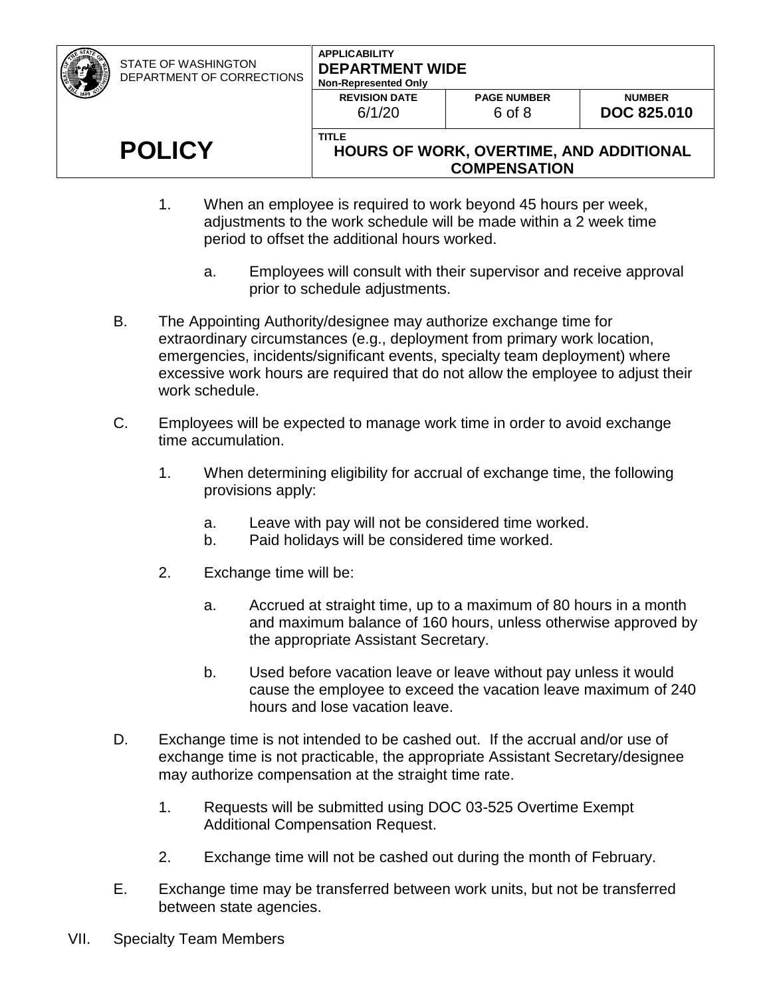| <b>POLICY</b>                                           | <b>TITLE</b><br>HOURS OF WORK, OVERTIME, AND ADDITIONAL<br><b>COMPENSATION</b> |                              |                                     |
|---------------------------------------------------------|--------------------------------------------------------------------------------|------------------------------|-------------------------------------|
|                                                         | <b>REVISION DATE</b><br>6/1/20                                                 | <b>PAGE NUMBER</b><br>6 of 8 | <b>NUMBER</b><br><b>DOC 825,010</b> |
| <b>STATE OF WASHINGTON</b><br>DEPARTMENT OF CORRECTIONS | <b>APPLICABILITY</b><br><b>DEPARTMENT WIDE</b><br><b>Non-Represented Only</b>  |                              |                                     |

- 1. When an employee is required to work beyond 45 hours per week, adjustments to the work schedule will be made within a 2 week time period to offset the additional hours worked.
	- a. Employees will consult with their supervisor and receive approval prior to schedule adjustments.
- B. The Appointing Authority/designee may authorize exchange time for extraordinary circumstances (e.g., deployment from primary work location, emergencies, incidents/significant events, specialty team deployment) where excessive work hours are required that do not allow the employee to adjust their work schedule.
- C. Employees will be expected to manage work time in order to avoid exchange time accumulation.
	- 1. When determining eligibility for accrual of exchange time, the following provisions apply:
		- a. Leave with pay will not be considered time worked.
		- b. Paid holidays will be considered time worked.
	- 2. Exchange time will be:
		- a. Accrued at straight time, up to a maximum of 80 hours in a month and maximum balance of 160 hours, unless otherwise approved by the appropriate Assistant Secretary.
		- b. Used before vacation leave or leave without pay unless it would cause the employee to exceed the vacation leave maximum of 240 hours and lose vacation leave.
- D. Exchange time is not intended to be cashed out. If the accrual and/or use of exchange time is not practicable, the appropriate Assistant Secretary/designee may authorize compensation at the straight time rate.
	- 1. Requests will be submitted using DOC 03-525 Overtime Exempt Additional Compensation Request.
	- 2. Exchange time will not be cashed out during the month of February.
- E. Exchange time may be transferred between work units, but not be transferred between state agencies.
- VII. Specialty Team Members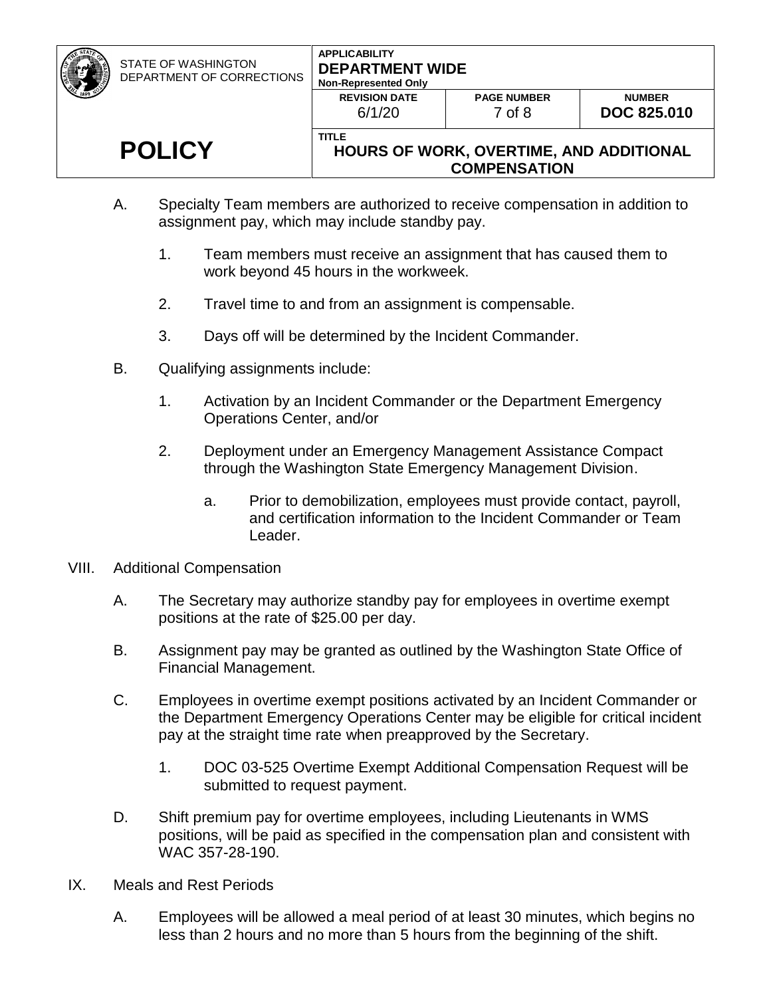STATE OF WASHINGTON DEPARTMENT OF CORRECTIONS

#### **APPLICABILITY DEPARTMENT WIDE Non-Repre**

| -Represented Only              |                              |                 |
|--------------------------------|------------------------------|-----------------|
| <b>REVISION DATE</b><br>6/1/20 | <b>PAGE NUMBER</b><br>7 of 8 | DO <sub>0</sub> |
|                                |                              |                 |

# **POLICY**

#### **HOURS OF WORK, OVERTIME, AND ADDITIONAL COMPENSATION**

- A. Specialty Team members are authorized to receive compensation in addition to assignment pay, which may include standby pay.
	- 1. Team members must receive an assignment that has caused them to work beyond 45 hours in the workweek.
	- 2. Travel time to and from an assignment is compensable.

**TITLE**

- 3. Days off will be determined by the Incident Commander.
- B. Qualifying assignments include:
	- 1. Activation by an Incident Commander or the Department Emergency Operations Center, and/or
	- 2. Deployment under an Emergency Management Assistance Compact through the Washington State Emergency Management Division.
		- a. Prior to demobilization, employees must provide contact, payroll, and certification information to the Incident Commander or Team Leader.
- VIII. Additional Compensation
	- A. The Secretary may authorize standby pay for employees in overtime exempt positions at the rate of \$25.00 per day.
	- B. Assignment pay may be granted as outlined by the Washington State Office of Financial Management.
	- C. Employees in overtime exempt positions activated by an Incident Commander or the Department Emergency Operations Center may be eligible for critical incident pay at the straight time rate when preapproved by the Secretary.
		- 1. DOC 03-525 Overtime Exempt Additional Compensation Request will be submitted to request payment.
	- D. Shift premium pay for overtime employees, including Lieutenants in WMS positions, will be paid as specified in the compensation plan and consistent with WAC 357-28-190.
- IX. Meals and Rest Periods
	- A. Employees will be allowed a meal period of at least 30 minutes, which begins no less than 2 hours and no more than 5 hours from the beginning of the shift.